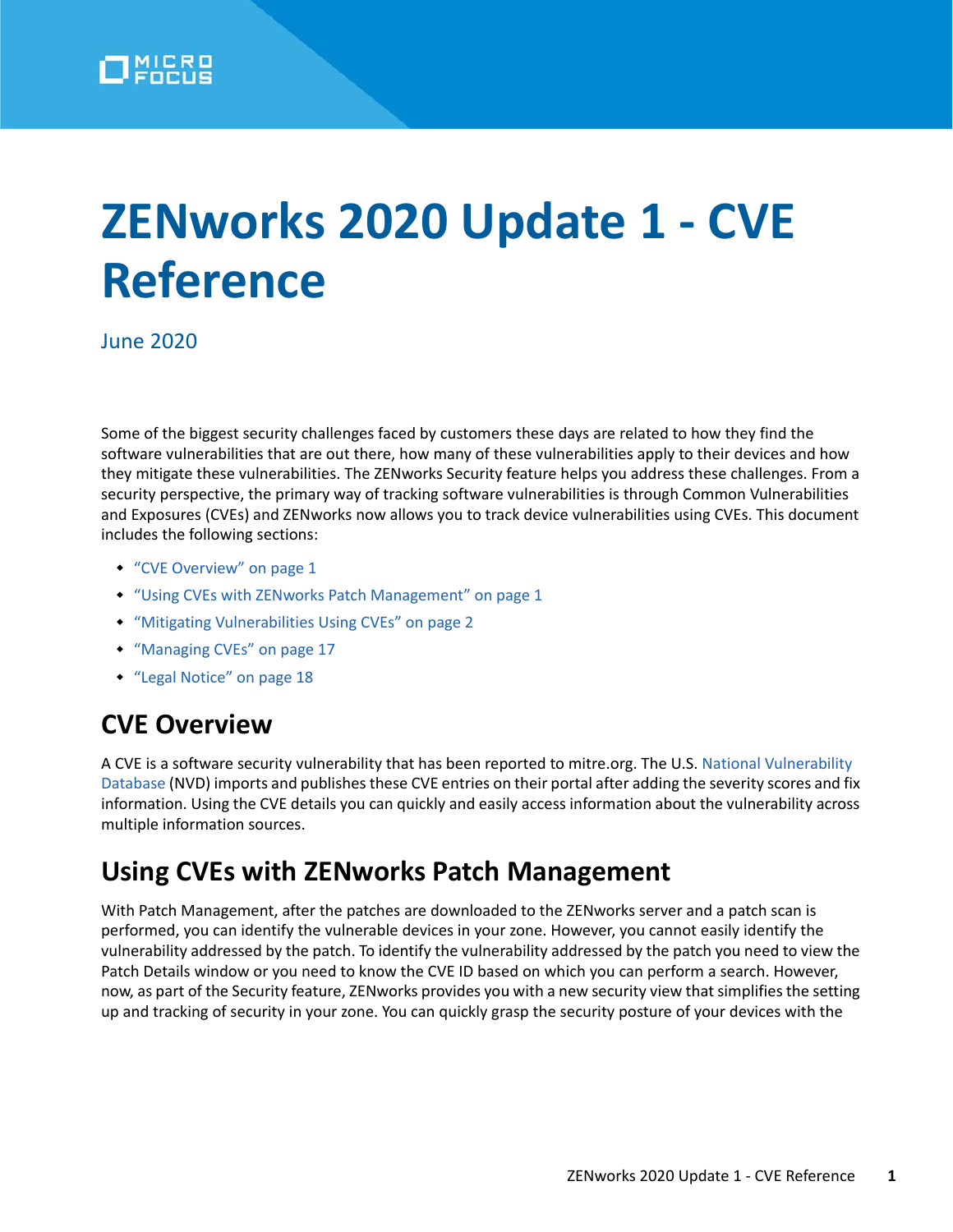# **ZENworks 2020 Update 1 - CVE Reference**

June 2020

Some of the biggest security challenges faced by customers these days are related to how they find the software vulnerabilities that are out there, how many of these vulnerabilities apply to their devices and how they mitigate these vulnerabilities. The ZENworks Security feature helps you address these challenges. From a security perspective, the primary way of tracking software vulnerabilities is through Common Vulnerabilities and Exposures (CVEs) and ZENworks now allows you to track device vulnerabilities using CVEs. This document includes the following sections:

- ["CVE Overview" on page 1](#page-0-0)
- ["Using CVEs with ZENworks Patch Management" on page 1](#page-0-1)
- ["Mitigating Vulnerabilities Using CVEs" on page 2](#page-1-0)
- ["Managing CVEs" on page 17](#page-16-0)
- ["Legal Notice" on page 18](#page-17-0)

# <span id="page-0-0"></span>**CVE Overview**

A CVE is a software security vulnerability that has been reported to mitre.org. The U.S. [National Vulnerability](https://nvd.nist.gov/)  [Database \(](https://nvd.nist.gov/)NVD) imports and publishes these CVE entries on their portal after adding the severity scores and fix information. Using the CVE details you can quickly and easily access information about the vulnerability across multiple information sources.

# <span id="page-0-1"></span>**Using CVEs with ZENworks Patch Management**

With Patch Management, after the patches are downloaded to the ZENworks server and a patch scan is performed, you can identify the vulnerable devices in your zone. However, you cannot easily identify the vulnerability addressed by the patch. To identify the vulnerability addressed by the patch you need to view the Patch Details window or you need to know the CVE ID based on which you can perform a search. However, now, as part of the Security feature, ZENworks provides you with a new security view that simplifies the setting up and tracking of security in your zone. You can quickly grasp the security posture of your devices with the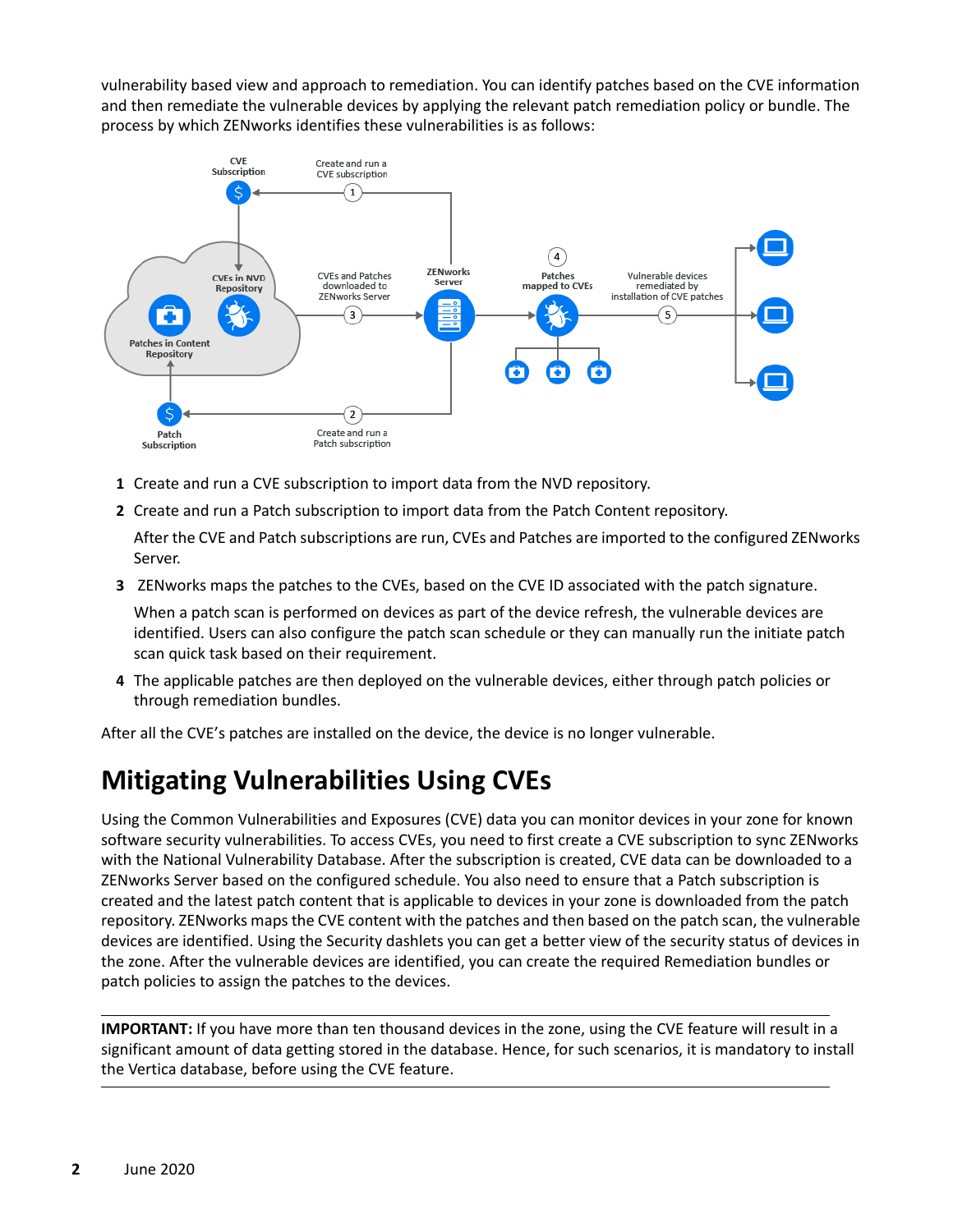vulnerability based view and approach to remediation. You can identify patches based on the CVE information and then remediate the vulnerable devices by applying the relevant patch remediation policy or bundle. The process by which ZENworks identifies these vulnerabilities is as follows:



- **1** Create and run a CVE subscription to import data from the NVD repository.
- **2** Create and run a Patch subscription to import data from the Patch Content repository.

After the CVE and Patch subscriptions are run, CVEs and Patches are imported to the configured ZENworks Server.

**3** ZENworks maps the patches to the CVEs, based on the CVE ID associated with the patch signature.

When a patch scan is performed on devices as part of the device refresh, the vulnerable devices are identified. Users can also configure the patch scan schedule or they can manually run the initiate patch scan quick task based on their requirement.

**4** The applicable patches are then deployed on the vulnerable devices, either through patch policies or through remediation bundles.

After all the CVE's patches are installed on the device, the device is no longer vulnerable.

# <span id="page-1-0"></span>**Mitigating Vulnerabilities Using CVEs**

Using the Common Vulnerabilities and Exposures (CVE) data you can monitor devices in your zone for known software security vulnerabilities. To access CVEs, you need to first create a CVE subscription to sync ZENworks with the National Vulnerability Database. After the subscription is created, CVE data can be downloaded to a ZENworks Server based on the configured schedule. You also need to ensure that a Patch subscription is created and the latest patch content that is applicable to devices in your zone is downloaded from the patch repository. ZENworks maps the CVE content with the patches and then based on the patch scan, the vulnerable devices are identified. Using the Security dashlets you can get a better view of the security status of devices in the zone. After the vulnerable devices are identified, you can create the required Remediation bundles or patch policies to assign the patches to the devices.

**IMPORTANT:** If you have more than ten thousand devices in the zone, using the CVE feature will result in a significant amount of data getting stored in the database. Hence, for such scenarios, it is mandatory to install the Vertica database, before using the CVE feature.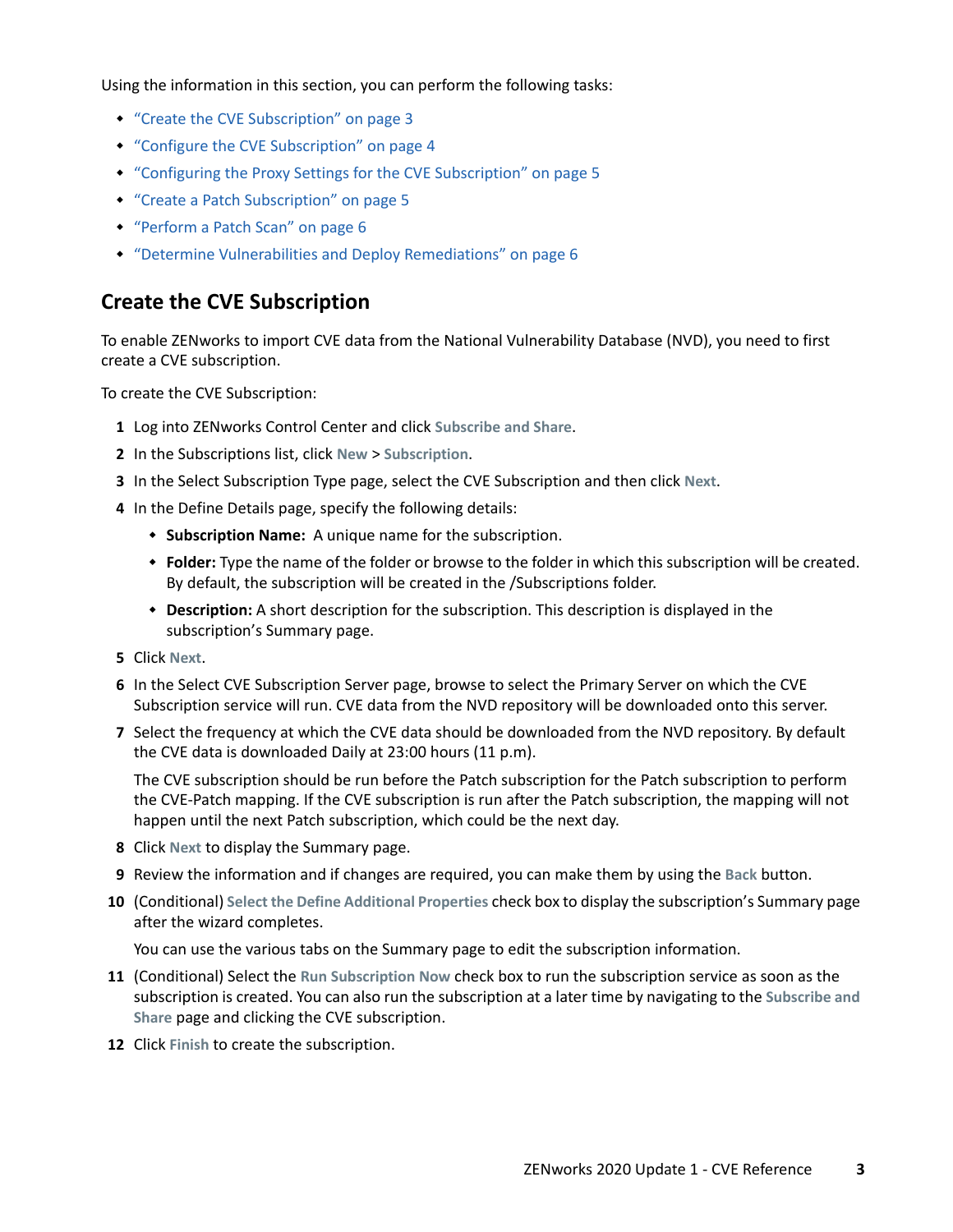Using the information in this section, you can perform the following tasks:

- ["Create the CVE Subscription" on page 3](#page-2-0)
- ["Configure the CVE Subscription" on page 4](#page-3-0)
- ["Configuring the Proxy Settings for the CVE Subscription" on page 5](#page-4-0)
- ["Create a Patch Subscription" on page 5](#page-4-1)
- ["Perform a Patch Scan" on page 6](#page-5-0)
- ["Determine Vulnerabilities and Deploy Remediations" on page 6](#page-5-1)

### <span id="page-2-0"></span>**Create the CVE Subscription**

To enable ZENworks to import CVE data from the National Vulnerability Database (NVD), you need to first create a CVE subscription.

To create the CVE Subscription:

- **1** Log into ZENworks Control Center and click **Subscribe and Share**.
- **2** In the Subscriptions list, click **New** > **Subscription**.
- **3** In the Select Subscription Type page, select the CVE Subscription and then click **Next**.
- **4** In the Define Details page, specify the following details:
	- **Subscription Name:** A unique name for the subscription.
	- **Folder:** Type the name of the folder or browse to the folder in which this subscription will be created. By default, the subscription will be created in the /Subscriptions folder.
	- **Description:** A short description for the subscription. This description is displayed in the subscription's Summary page.
- **5** Click **Next**.
- **6** In the Select CVE Subscription Server page, browse to select the Primary Server on which the CVE Subscription service will run. CVE data from the NVD repository will be downloaded onto this server.
- **7** Select the frequency at which the CVE data should be downloaded from the NVD repository. By default the CVE data is downloaded Daily at 23:00 hours (11 p.m).

The CVE subscription should be run before the Patch subscription for the Patch subscription to perform the CVE-Patch mapping. If the CVE subscription is run after the Patch subscription, the mapping will not happen until the next Patch subscription, which could be the next day.

- **8** Click **Next** to display the Summary page.
- **9** Review the information and if changes are required, you can make them by using the **Back** button.
- **10** (Conditional) **Select the Define Additional Properties** check box to display the subscription's Summary page after the wizard completes.

You can use the various tabs on the Summary page to edit the subscription information.

- **11** (Conditional) Select the **Run Subscription Now** check box to run the subscription service as soon as the subscription is created. You can also run the subscription at a later time by navigating to the **Subscribe and Share** page and clicking the CVE subscription.
- **12** Click **Finish** to create the subscription.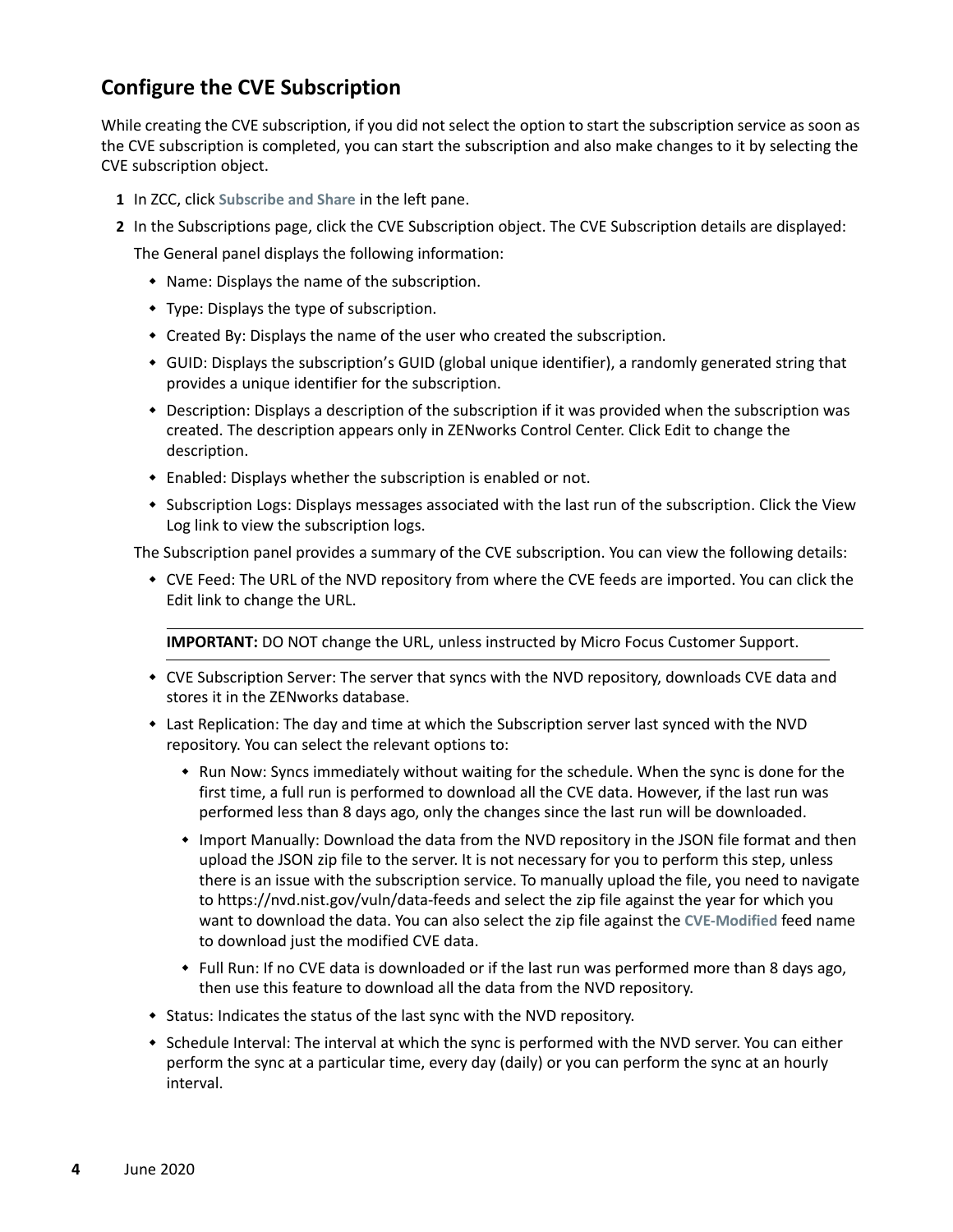## <span id="page-3-0"></span>**Configure the CVE Subscription**

While creating the CVE subscription, if you did not select the option to start the subscription service as soon as the CVE subscription is completed, you can start the subscription and also make changes to it by selecting the CVE subscription object.

- **1** In ZCC, click **Subscribe and Share** in the left pane.
- **2** In the Subscriptions page, click the CVE Subscription object. The CVE Subscription details are displayed:

The General panel displays the following information:

- Name: Displays the name of the subscription.
- Type: Displays the type of subscription.
- Created By: Displays the name of the user who created the subscription.
- GUID: Displays the subscription's GUID (global unique identifier), a randomly generated string that provides a unique identifier for the subscription.
- Description: Displays a description of the subscription if it was provided when the subscription was created. The description appears only in ZENworks Control Center. Click Edit to change the description.
- Enabled: Displays whether the subscription is enabled or not.
- \* Subscription Logs: Displays messages associated with the last run of the subscription. Click the View Log link to view the subscription logs.

The Subscription panel provides a summary of the CVE subscription. You can view the following details:

 CVE Feed: The URL of the NVD repository from where the CVE feeds are imported. You can click the Edit link to change the URL.

**IMPORTANT:** DO NOT change the URL, unless instructed by Micro Focus Customer Support.

- CVE Subscription Server: The server that syncs with the NVD repository, downloads CVE data and stores it in the ZENworks database.
- Last Replication: The day and time at which the Subscription server last synced with the NVD repository. You can select the relevant options to:
	- **\*** Run Now: Syncs immediately without waiting for the schedule. When the sync is done for the first time, a full run is performed to download all the CVE data. However, if the last run was performed less than 8 days ago, only the changes since the last run will be downloaded.
	- Import Manually: Download the data from the NVD repository in the JSON file format and then upload the JSON zip file to the server. It is not necessary for you to perform this step, unless there is an issue with the subscription service. To manually upload the file, you need to navigate to https://nvd.nist.gov/vuln/data-feeds and select the zip file against the year for which you want to download the data. You can also select the zip file against the **CVE-Modified** feed name to download just the modified CVE data.
	- Full Run: If no CVE data is downloaded or if the last run was performed more than 8 days ago, then use this feature to download all the data from the NVD repository.
- Status: Indicates the status of the last sync with the NVD repository.
- Schedule Interval: The interval at which the sync is performed with the NVD server. You can either perform the sync at a particular time, every day (daily) or you can perform the sync at an hourly interval.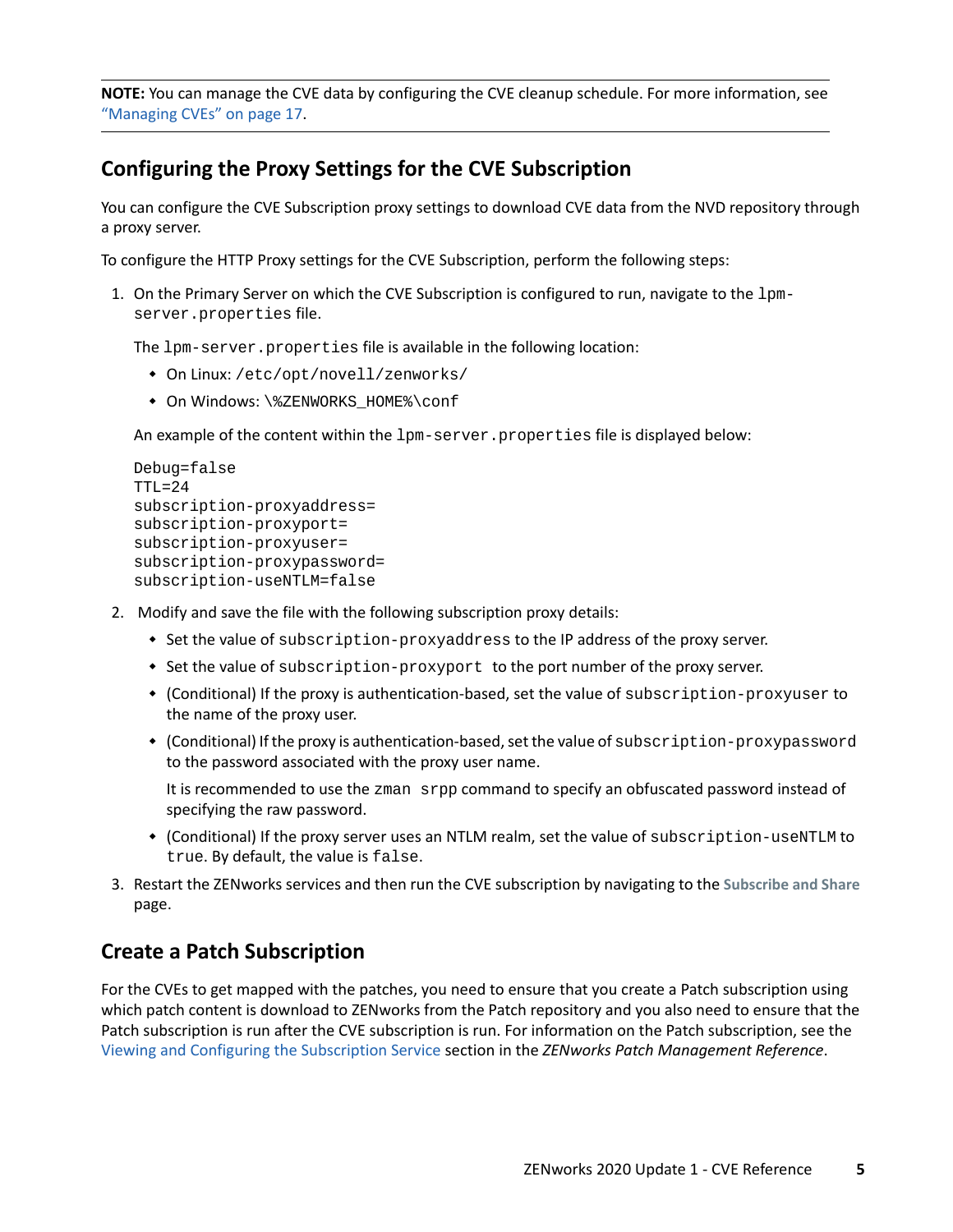**NOTE:** You can manage the CVE data by configuring the CVE cleanup schedule. For more information, see ["Managing CVEs" on page 17](#page-16-0).

### <span id="page-4-0"></span>**Configuring the Proxy Settings for the CVE Subscription**

You can configure the CVE Subscription proxy settings to download CVE data from the NVD repository through a proxy server.

To configure the HTTP Proxy settings for the CVE Subscription, perform the following steps:

1. On the Primary Server on which the CVE Subscription is configured to run, navigate to the lpmserver.properties file.

The lpm-server.properties file is available in the following location:

- On Linux: /etc/opt/novell/zenworks/
- $\bullet$  On Windows: \%ZENWORKS HOME%\conf

An example of the content within the  $1pm$ -server.properties file is displayed below:

```
Debug=false
TTL=24subscription-proxyaddress=
subscription-proxyport=
subscription-proxyuser=
subscription-proxypassword=
subscription-useNTLM=false
```
- 2. Modify and save the file with the following subscription proxy details:
	- Set the value of subscription-proxyaddress to the IP address of the proxy server.
	- Set the value of subscription-proxyport to the port number of the proxy server.
	- (Conditional) If the proxy is authentication-based, set the value of subscription-proxyuser to the name of the proxy user.
	- (Conditional) If the proxy is authentication-based, set the value of subscription-proxypassword to the password associated with the proxy user name.

It is recommended to use the zman srpp command to specify an obfuscated password instead of specifying the raw password.

- (Conditional) If the proxy server uses an NTLM realm, set the value of subscription-useNTLM to true. By default, the value is false.
- 3. Restart the ZENworks services and then run the CVE subscription by navigating to the **Subscribe and Share** page.

### <span id="page-4-1"></span>**Create a Patch Subscription**

For the CVEs to get mapped with the patches, you need to ensure that you create a Patch subscription using which patch content is download to ZENworks from the Patch repository and you also need to ensure that the Patch subscription is run after the CVE subscription is run. For information on the Patch subscription, see the [Viewing and Configuring the Subscription Service](https://www.novell.com/documentation/zenworks-2020-update-2/pdfdoc/zen_pm_administration/zen_pm_administration.pdf#bfrqu5c) section in the *ZENworks Patch Management Reference*.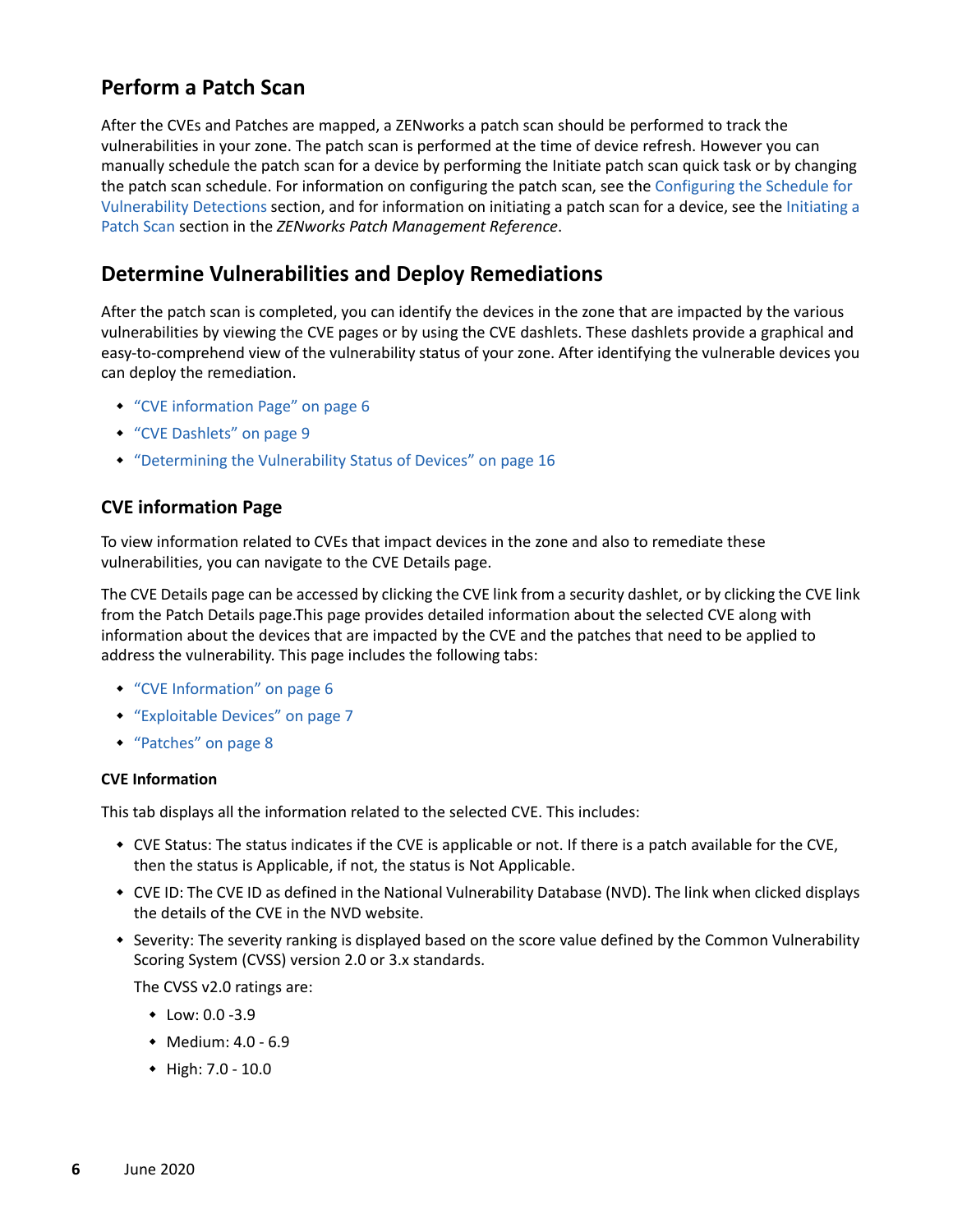### <span id="page-5-0"></span>**Perform a Patch Scan**

After the CVEs and Patches are mapped, a ZENworks a patch scan should be performed to track the vulnerabilities in your zone. The patch scan is performed at the time of device refresh. However you can manually schedule the patch scan for a device by performing the Initiate patch scan quick task or by changing the patch scan schedule. For information on configuring the patch scan, see the [Configuring the Schedule for](https://www.novell.com/documentation/zenworks-2020-update-2/pdfdoc/zen_pm_administration/zen_pm_administration.pdf#btywtqj)  [Vulnerability Detections](https://www.novell.com/documentation/zenworks-2020-update-2/pdfdoc/zen_pm_administration/zen_pm_administration.pdf#btywtqj) section, and for information on initiating a patch scan for a device, see the [Initiating a](https://www.novell.com/documentation/zenworks-2020-update-2/pdfdoc/zen_pm_administration/zen_pm_administration.pdf#t4ac4ann31np)  [Patch Scan](https://www.novell.com/documentation/zenworks-2020-update-2/pdfdoc/zen_pm_administration/zen_pm_administration.pdf#t4ac4ann31np) section in the *ZENworks Patch Management Reference*.

### <span id="page-5-1"></span>**Determine Vulnerabilities and Deploy Remediations**

After the patch scan is completed, you can identify the devices in the zone that are impacted by the various vulnerabilities by viewing the CVE pages or by using the CVE dashlets. These dashlets provide a graphical and easy-to-comprehend view of the vulnerability status of your zone. After identifying the vulnerable devices you can deploy the remediation.

- ["CVE information Page" on page 6](#page-5-2)
- ["CVE Dashlets" on page 9](#page-8-0)
- ["Determining the Vulnerability Status of Devices" on page 16](#page-15-0)

#### <span id="page-5-2"></span>**CVE information Page**

To view information related to CVEs that impact devices in the zone and also to remediate these vulnerabilities, you can navigate to the CVE Details page.

The CVE Details page can be accessed by clicking the CVE link from a security dashlet, or by clicking the CVE link from the Patch Details page.This page provides detailed information about the selected CVE along with information about the devices that are impacted by the CVE and the patches that need to be applied to address the vulnerability. This page includes the following tabs:

- ["CVE Information" on page 6](#page-5-3)
- ["Exploitable Devices" on page 7](#page-6-0)
- ["Patches" on page 8](#page-7-0)

#### <span id="page-5-3"></span>**CVE Information**

This tab displays all the information related to the selected CVE. This includes:

- CVE Status: The status indicates if the CVE is applicable or not. If there is a patch available for the CVE, then the status is Applicable, if not, the status is Not Applicable.
- CVE ID: The CVE ID as defined in the National Vulnerability Database (NVD). The link when clicked displays the details of the CVE in the NVD website.
- Severity: The severity ranking is displayed based on the score value defined by the Common Vulnerability Scoring System (CVSS) version 2.0 or 3.x standards.

The CVSS v2.0 ratings are:

- $\bullet$  Low: 0.0 -3.9
- $\bullet$  Medium: 4.0 6.9
- High: 7.0 10.0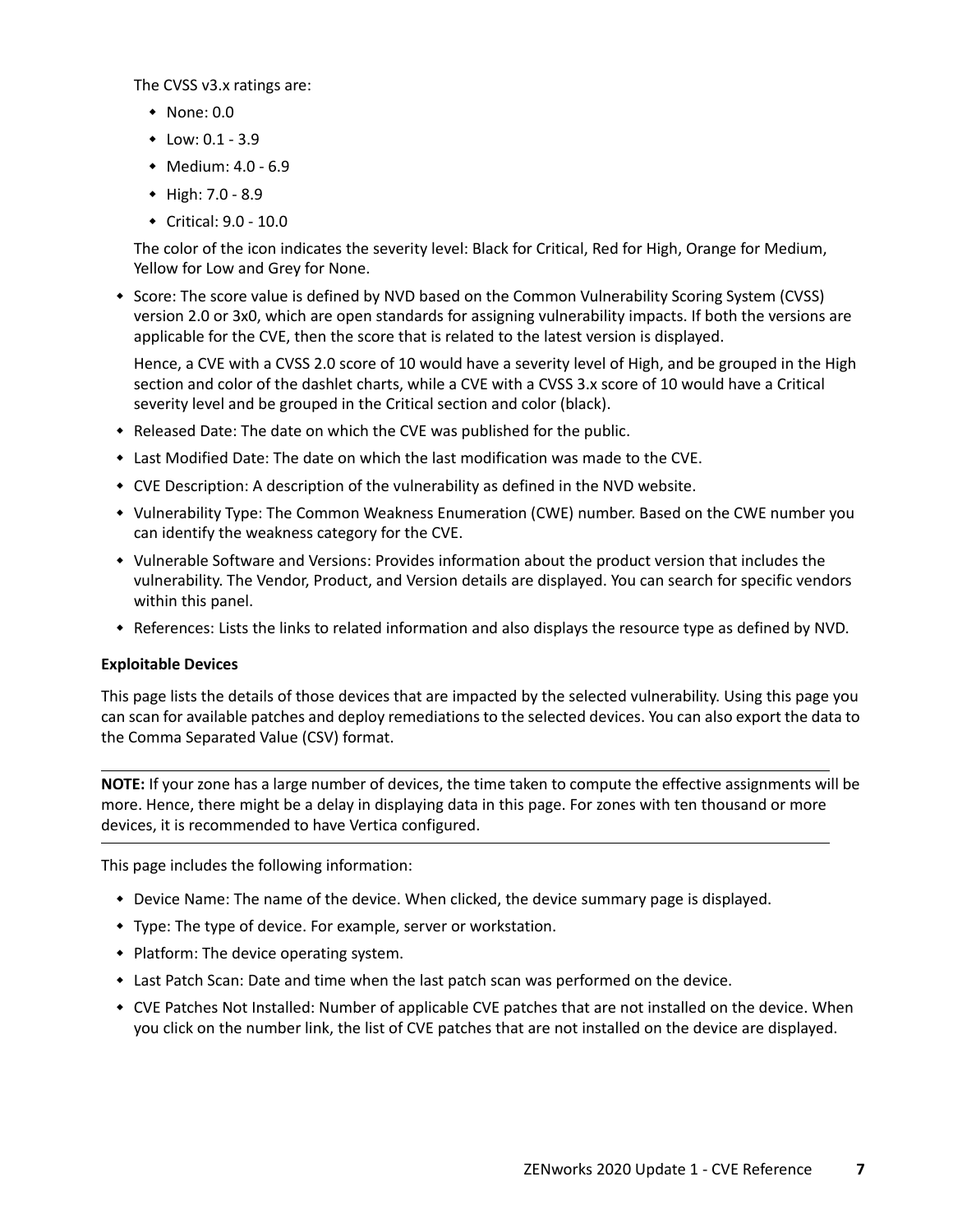The CVSS v3.x ratings are:

- $\bullet$  None: 0.0
- $\bullet$  Low: 0.1 3.9
- $\bullet$  Medium: 4.0 6.9
- $\triangleleft$  High: 7.0 8.9
- Critical: 9.0 10.0

The color of the icon indicates the severity level: Black for Critical, Red for High, Orange for Medium, Yellow for Low and Grey for None.

\* Score: The score value is defined by NVD based on the Common Vulnerability Scoring System (CVSS) version 2.0 or 3x0, which are open standards for assigning vulnerability impacts. If both the versions are applicable for the CVE, then the score that is related to the latest version is displayed.

Hence, a CVE with a CVSS 2.0 score of 10 would have a severity level of High, and be grouped in the High section and color of the dashlet charts, while a CVE with a CVSS 3.x score of 10 would have a Critical severity level and be grouped in the Critical section and color (black).

- $\bullet$  Released Date: The date on which the CVE was published for the public.
- Last Modified Date: The date on which the last modification was made to the CVE.
- CVE Description: A description of the vulnerability as defined in the NVD website.
- Vulnerability Type: The Common Weakness Enumeration (CWE) number. Based on the CWE number you can identify the weakness category for the CVE.
- Vulnerable Software and Versions: Provides information about the product version that includes the vulnerability. The Vendor, Product, and Version details are displayed. You can search for specific vendors within this panel.
- References: Lists the links to related information and also displays the resource type as defined by NVD.

#### <span id="page-6-0"></span>**Exploitable Devices**

This page lists the details of those devices that are impacted by the selected vulnerability. Using this page you can scan for available patches and deploy remediations to the selected devices. You can also export the data to the Comma Separated Value (CSV) format.

**NOTE:** If your zone has a large number of devices, the time taken to compute the effective assignments will be more. Hence, there might be a delay in displaying data in this page. For zones with ten thousand or more devices, it is recommended to have Vertica configured.

This page includes the following information:

- Device Name: The name of the device. When clicked, the device summary page is displayed.
- Type: The type of device. For example, server or workstation.
- Platform: The device operating system.
- Last Patch Scan: Date and time when the last patch scan was performed on the device.
- CVE Patches Not Installed: Number of applicable CVE patches that are not installed on the device. When you click on the number link, the list of CVE patches that are not installed on the device are displayed.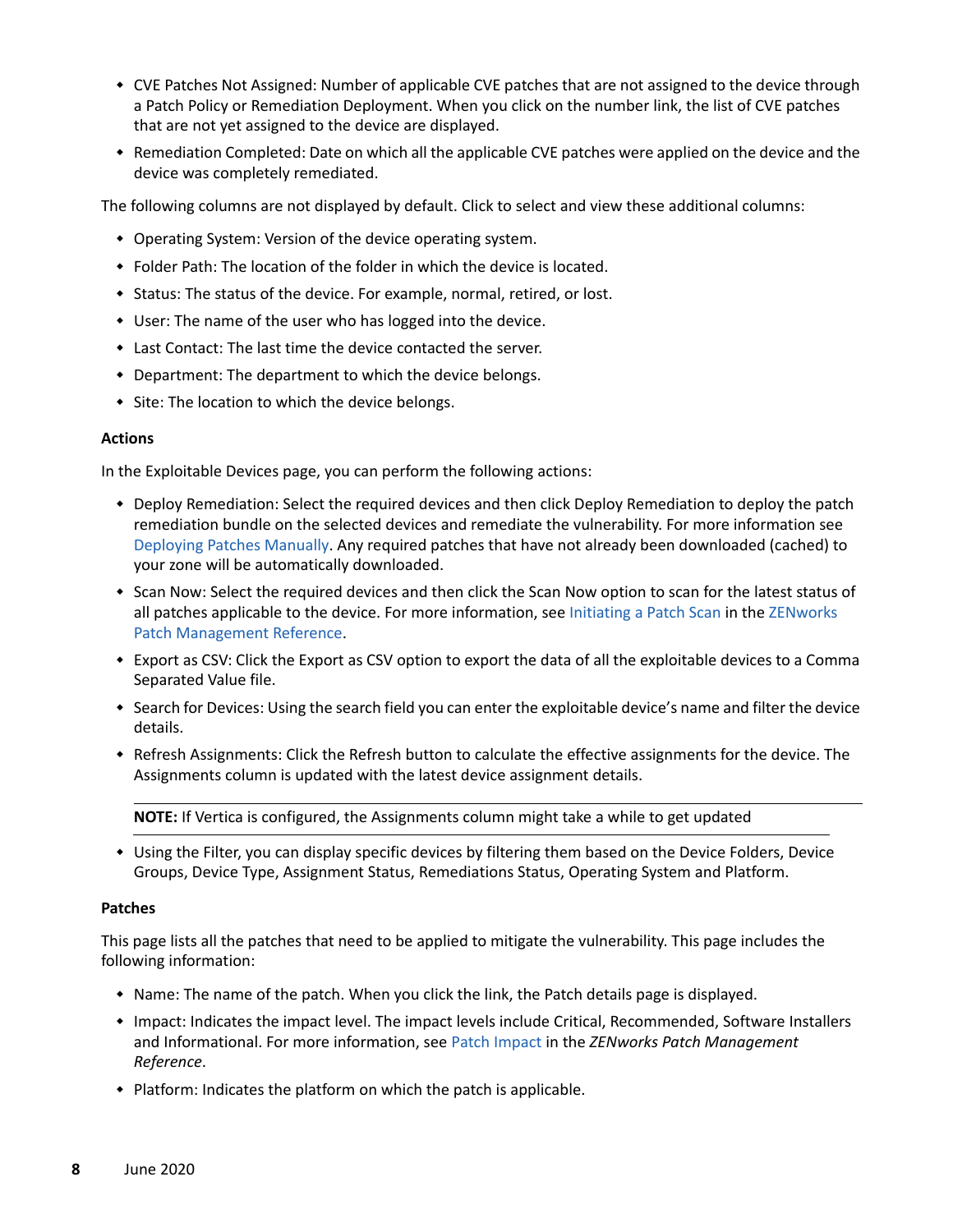- CVE Patches Not Assigned: Number of applicable CVE patches that are not assigned to the device through a Patch Policy or Remediation Deployment. When you click on the number link, the list of CVE patches that are not yet assigned to the device are displayed.
- Remediation Completed: Date on which all the applicable CVE patches were applied on the device and the device was completely remediated.

The following columns are not displayed by default. Click to select and view these additional columns:

- Operating System: Version of the device operating system.
- Folder Path: The location of the folder in which the device is located.
- Status: The status of the device. For example, normal, retired, or lost.
- User: The name of the user who has logged into the device.
- Last Contact: The last time the device contacted the server.
- Department: The department to which the device belongs.
- Site: The location to which the device belongs.

#### **Actions**

In the Exploitable Devices page, you can perform the following actions:

- Deploy Remediation: Select the required devices and then click Deploy Remediation to deploy the patch remediation bundle on the selected devices and remediate the vulnerability. For more information see [Deploying Patches Manually.](https://www.novell.com/documentation/zenworks-2020-update-2/pdfdoc/zen_pm_administration/zen_pm_administration.pdf#b1kysjix) Any required patches that have not already been downloaded (cached) to your zone will be automatically downloaded.
- Scan Now: Select the required devices and then click the Scan Now option to scan for the latest status of all patches applicable to the device. For more information, see [Initiating a Patch Scan](https://www.novell.com/documentation/zenworks-2020-update-2/pdfdoc/zen_pm_administration/zen_pm_administration.pdf#t4ac4ann31np) in the [ZENworks](https://www.novell.com/documentation/zenworks-2020-update-2/pdfdoc/zen_pm_administration/zen_pm_administration.pdf#bookinfo)  [Patch Management Reference](https://www.novell.com/documentation/zenworks-2020-update-2/pdfdoc/zen_pm_administration/zen_pm_administration.pdf#bookinfo).
- Export as CSV: Click the Export as CSV option to export the data of all the exploitable devices to a Comma Separated Value file.
- Search for Devices: Using the search field you can enter the exploitable device's name and filter the device details.
- Refresh Assignments: Click the Refresh button to calculate the effective assignments for the device. The Assignments column is updated with the latest device assignment details.

**NOTE:** If Vertica is configured, the Assignments column might take a while to get updated

 Using the Filter, you can display specific devices by filtering them based on the Device Folders, Device Groups, Device Type, Assignment Status, Remediations Status, Operating System and Platform.

#### <span id="page-7-0"></span>**Patches**

This page lists all the patches that need to be applied to mitigate the vulnerability. This page includes the following information:

- Name: The name of the patch. When you click the link, the Patch details page is displayed.
- Impact: Indicates the impact level. The impact levels include Critical, Recommended, Software Installers and Informational. For more information, see [Patch Impact](https://www.novell.com/documentation/zenworks-2020-update-2/pdfdoc/zen_pm_administration/zen_pm_administration.pdf#b9fxeww) in the *ZENworks Patch Management Reference*.
- Platform: Indicates the platform on which the patch is applicable.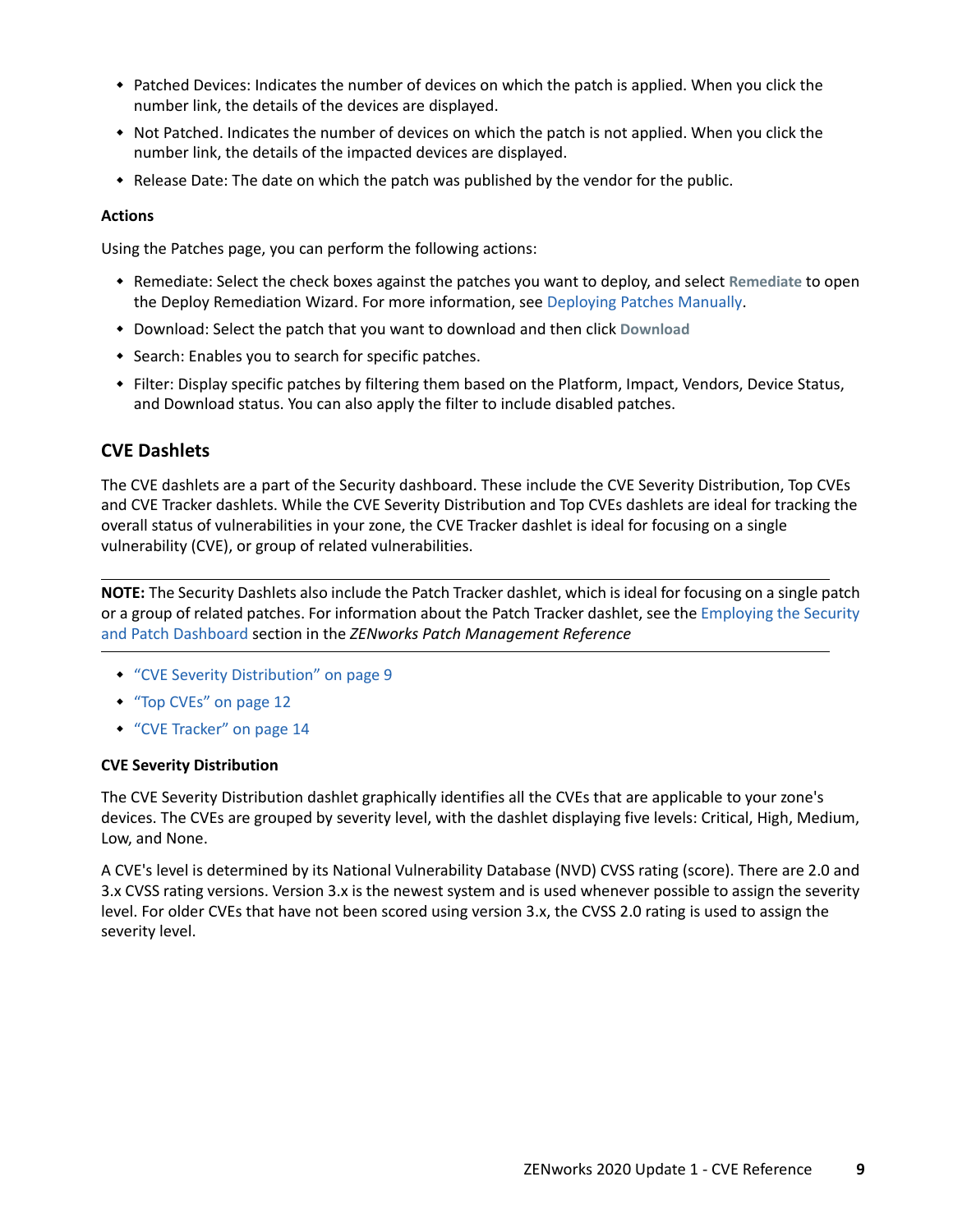- Patched Devices: Indicates the number of devices on which the patch is applied. When you click the number link, the details of the devices are displayed.
- Not Patched. Indicates the number of devices on which the patch is not applied. When you click the number link, the details of the impacted devices are displayed.
- Release Date: The date on which the patch was published by the vendor for the public.

#### **Actions**

Using the Patches page, you can perform the following actions:

- Remediate: Select the check boxes against the patches you want to deploy, and select **Remediate** to open the Deploy Remediation Wizard. For more information, see [Deploying Patches Manually](https://www.novell.com/documentation/zenworks-2020-update-2/pdfdoc/zen_pm_administration/zen_pm_administration.pdf#b1kysjix).
- Download: Select the patch that you want to download and then click **Download**
- Search: Enables you to search for specific patches.
- Filter: Display specific patches by filtering them based on the Platform, Impact, Vendors, Device Status, and Download status. You can also apply the filter to include disabled patches.

#### <span id="page-8-0"></span>**CVE Dashlets**

The CVE dashlets are a part of the Security dashboard. These include the CVE Severity Distribution, Top CVEs and CVE Tracker dashlets. While the CVE Severity Distribution and Top CVEs dashlets are ideal for tracking the overall status of vulnerabilities in your zone, the CVE Tracker dashlet is ideal for focusing on a single vulnerability (CVE), or group of related vulnerabilities.

**NOTE:** The Security Dashlets also include the Patch Tracker dashlet, which is ideal for focusing on a single patch or a group of related patches. For information about the Patch Tracker dashlet, see the [Employing the Security](https://www.novell.com/documentation/zenworks-2020-update-2/pdfdoc/zen_pm_administration/zen_pm_administration.pdf#t46yizmzp6aj)  [and Patch Dashboard](https://www.novell.com/documentation/zenworks-2020-update-2/pdfdoc/zen_pm_administration/zen_pm_administration.pdf#t46yizmzp6aj) section in the *ZENworks Patch Management Reference*

- ["CVE Severity Distribution" on page 9](#page-8-1)
- ["Top CVEs" on page 12](#page-11-0)
- ["CVE Tracker" on page 14](#page-13-0)

#### <span id="page-8-1"></span>**CVE Severity Distribution**

The CVE Severity Distribution dashlet graphically identifies all the CVEs that are applicable to your zone's devices. The CVEs are grouped by severity level, with the dashlet displaying five levels: Critical, High, Medium, Low, and None.

A CVE's level is determined by its National Vulnerability Database (NVD) CVSS rating (score). There are 2.0 and 3.x CVSS rating versions. Version 3.x is the newest system and is used whenever possible to assign the severity level. For older CVEs that have not been scored using version 3.x, the CVSS 2.0 rating is used to assign the severity level.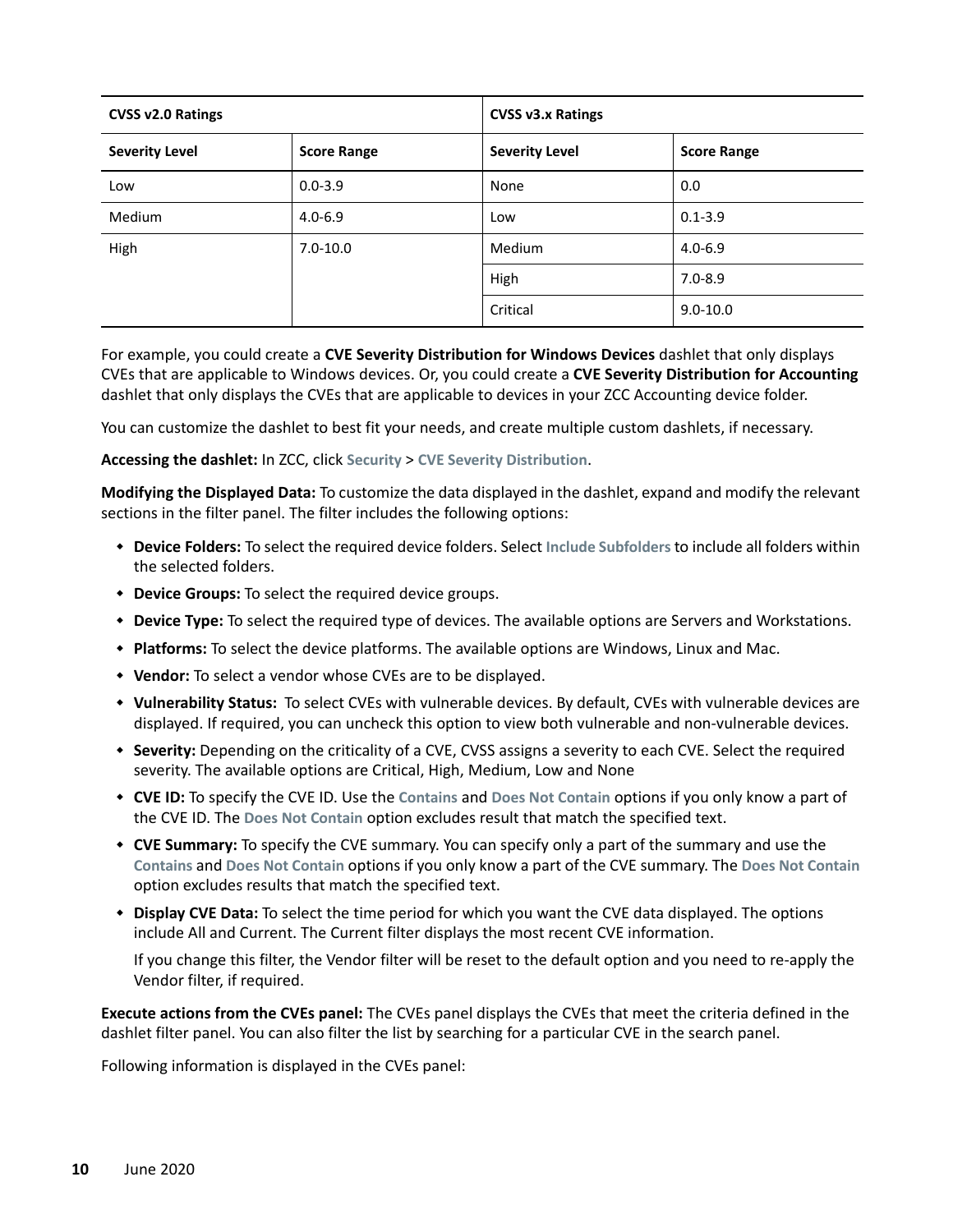| CVSS v2.0 Ratings     |                    | <b>CVSS v3.x Ratings</b> |                    |
|-----------------------|--------------------|--------------------------|--------------------|
| <b>Severity Level</b> | <b>Score Range</b> | <b>Severity Level</b>    | <b>Score Range</b> |
| Low                   | $0.0 - 3.9$        | None                     | 0.0                |
| <b>Medium</b>         | $4.0 - 6.9$        | Low                      | $0.1 - 3.9$        |
| High<br>$7.0 - 10.0$  | Medium             | $4.0 - 6.9$              |                    |
|                       |                    | High                     | $7.0 - 8.9$        |
|                       |                    | Critical                 | $9.0 - 10.0$       |

For example, you could create a **CVE Severity Distribution for Windows Devices** dashlet that only displays CVEs that are applicable to Windows devices. Or, you could create a **CVE Severity Distribution for Accounting** dashlet that only displays the CVEs that are applicable to devices in your ZCC Accounting device folder.

You can customize the dashlet to best fit your needs, and create multiple custom dashlets, if necessary.

**Accessing the dashlet:** In ZCC, click **Security** > **CVE Severity Distribution**.

**Modifying the Displayed Data:** To customize the data displayed in the dashlet, expand and modify the relevant sections in the filter panel. The filter includes the following options:

- **Device Folders:** To select the required device folders. Select **Include Subfolders** to include all folders within the selected folders.
- **Device Groups:** To select the required device groups.
- **Device Type:** To select the required type of devices. The available options are Servers and Workstations.
- **Platforms:** To select the device platforms. The available options are Windows, Linux and Mac.
- **Vendor:** To select a vendor whose CVEs are to be displayed.
- **Vulnerability Status:** To select CVEs with vulnerable devices. By default, CVEs with vulnerable devices are displayed. If required, you can uncheck this option to view both vulnerable and non-vulnerable devices.
- **Severity:** Depending on the criticality of a CVE, CVSS assigns a severity to each CVE. Select the required severity. The available options are Critical, High, Medium, Low and None
- **CVE ID:** To specify the CVE ID. Use the **Contains** and **Does Not Contain** options if you only know a part of the CVE ID. The **Does Not Contain** option excludes result that match the specified text.
- **CVE Summary:** To specify the CVE summary. You can specify only a part of the summary and use the **Contains** and **Does Not Contain** options if you only know a part of the CVE summary. The **Does Not Contain** option excludes results that match the specified text.
- **Display CVE Data:** To select the time period for which you want the CVE data displayed. The options include All and Current. The Current filter displays the most recent CVE information.

If you change this filter, the Vendor filter will be reset to the default option and you need to re-apply the Vendor filter, if required.

**Execute actions from the CVEs panel:** The CVEs panel displays the CVEs that meet the criteria defined in the dashlet filter panel. You can also filter the list by searching for a particular CVE in the search panel.

Following information is displayed in the CVEs panel: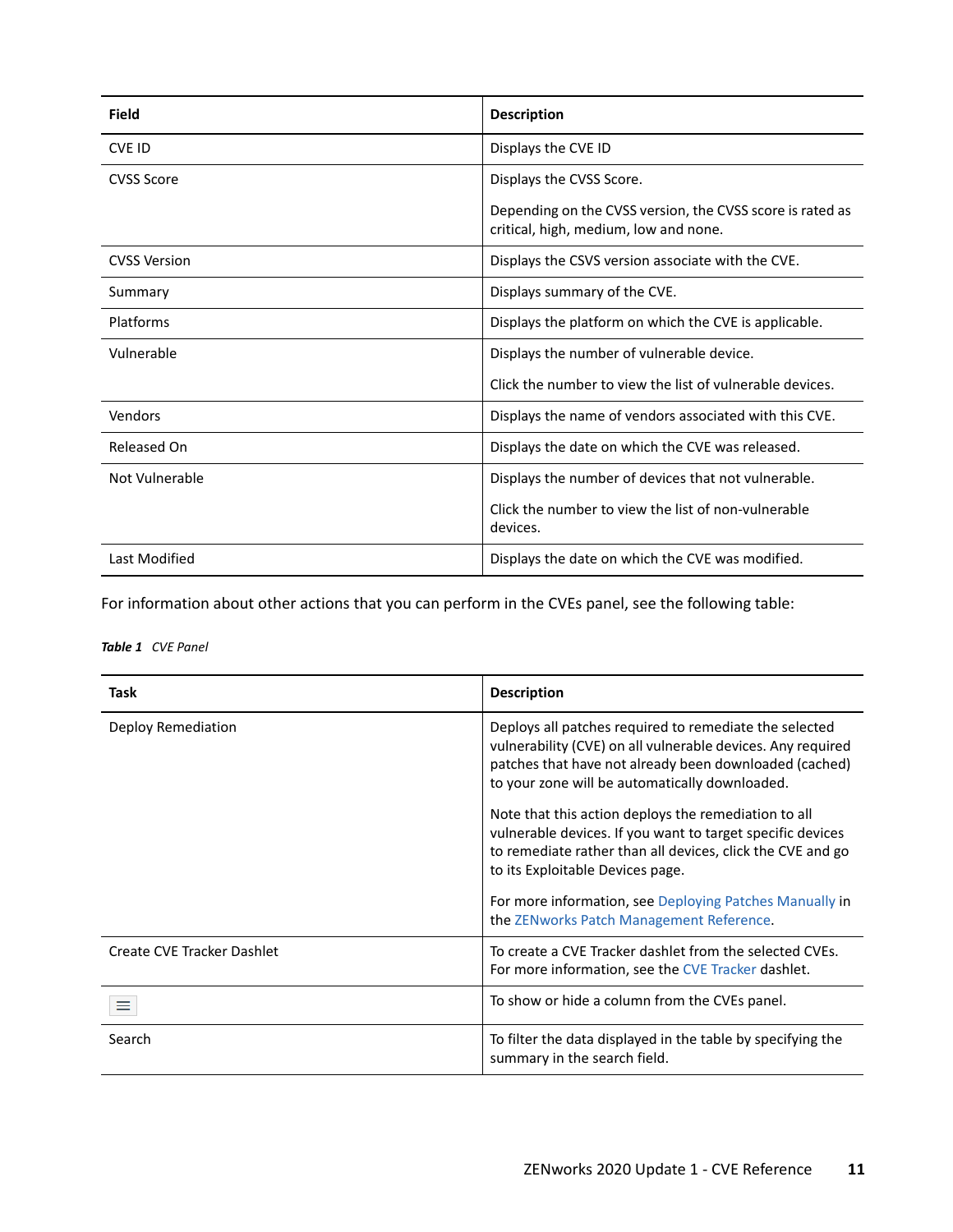| Field               | <b>Description</b>                                                                                 |  |
|---------------------|----------------------------------------------------------------------------------------------------|--|
| <b>CVE ID</b>       | Displays the CVE ID                                                                                |  |
| <b>CVSS Score</b>   | Displays the CVSS Score.                                                                           |  |
|                     | Depending on the CVSS version, the CVSS score is rated as<br>critical, high, medium, low and none. |  |
| <b>CVSS Version</b> | Displays the CSVS version associate with the CVE.                                                  |  |
| Summary             | Displays summary of the CVE.                                                                       |  |
| Platforms           | Displays the platform on which the CVE is applicable.                                              |  |
| Vulnerable          | Displays the number of vulnerable device.                                                          |  |
|                     | Click the number to view the list of vulnerable devices.                                           |  |
| Vendors             | Displays the name of vendors associated with this CVE.                                             |  |
| Released On         | Displays the date on which the CVE was released.                                                   |  |
| Not Vulnerable      | Displays the number of devices that not vulnerable.                                                |  |
|                     | Click the number to view the list of non-vulnerable<br>devices.                                    |  |
| Last Modified       | Displays the date on which the CVE was modified.                                                   |  |

For information about other actions that you can perform in the CVEs panel, see the following table:

*Table 1 CVE Panel*

| Task                       | <b>Description</b>                                                                                                                                                                                                                |
|----------------------------|-----------------------------------------------------------------------------------------------------------------------------------------------------------------------------------------------------------------------------------|
| Deploy Remediation         | Deploys all patches required to remediate the selected<br>vulnerability (CVE) on all vulnerable devices. Any required<br>patches that have not already been downloaded (cached)<br>to your zone will be automatically downloaded. |
|                            | Note that this action deploys the remediation to all<br>vulnerable devices. If you want to target specific devices<br>to remediate rather than all devices, click the CVE and go<br>to its Exploitable Devices page.              |
|                            | For more information, see Deploying Patches Manually in<br>the ZENworks Patch Management Reference.                                                                                                                               |
| Create CVE Tracker Dashlet | To create a CVE Tracker dashlet from the selected CVEs.<br>For more information, see the CVE Tracker dashlet.                                                                                                                     |
|                            | To show or hide a column from the CVEs panel.                                                                                                                                                                                     |
| Search                     | To filter the data displayed in the table by specifying the<br>summary in the search field.                                                                                                                                       |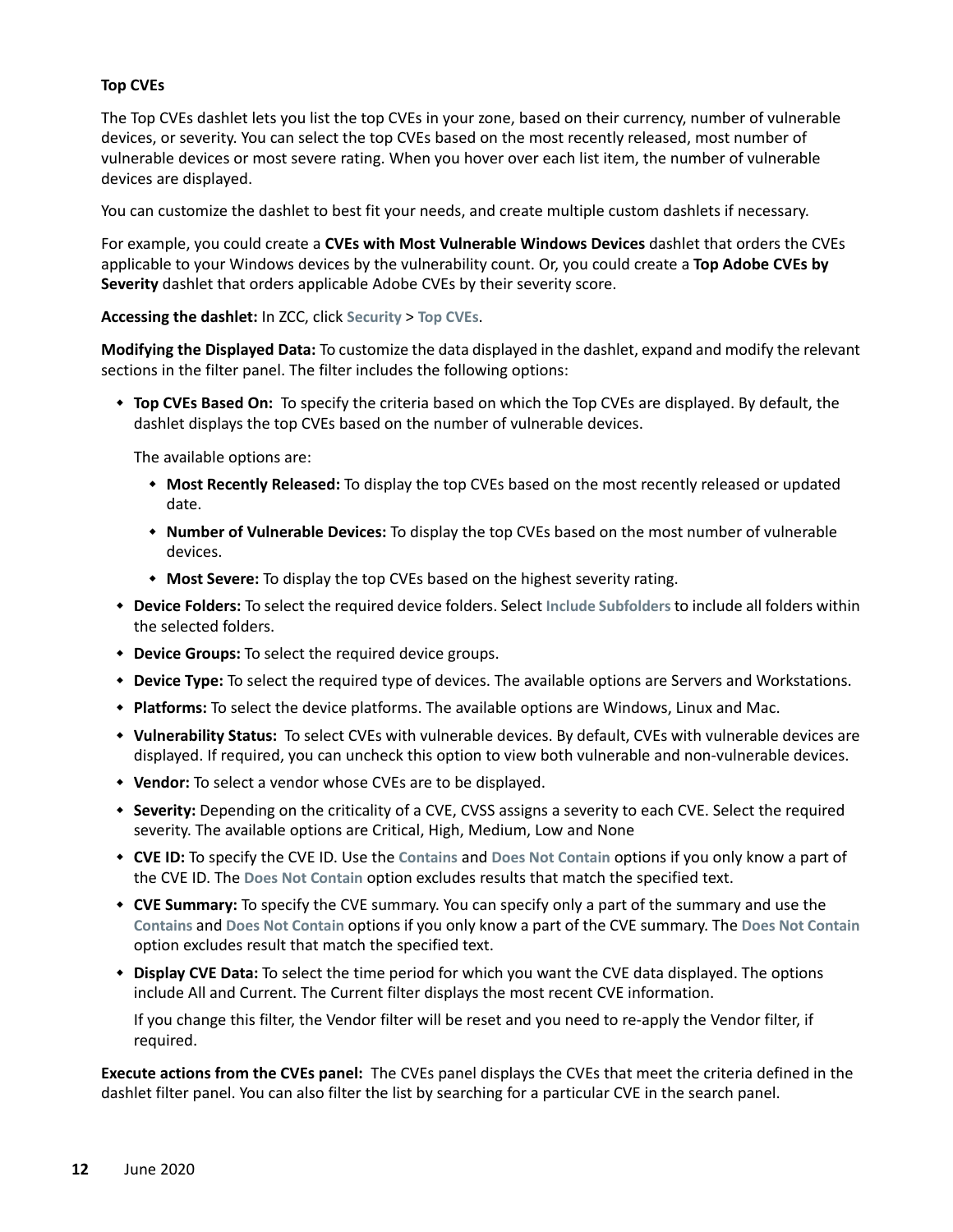#### <span id="page-11-0"></span>**Top CVEs**

The Top CVEs dashlet lets you list the top CVEs in your zone, based on their currency, number of vulnerable devices, or severity. You can select the top CVEs based on the most recently released, most number of vulnerable devices or most severe rating. When you hover over each list item, the number of vulnerable devices are displayed.

You can customize the dashlet to best fit your needs, and create multiple custom dashlets if necessary.

For example, you could create a **CVEs with Most Vulnerable Windows Devices** dashlet that orders the CVEs applicable to your Windows devices by the vulnerability count. Or, you could create a **Top Adobe CVEs by Severity** dashlet that orders applicable Adobe CVEs by their severity score.

#### **Accessing the dashlet:** In ZCC, click **Security** > **Top CVEs**.

**Modifying the Displayed Data:** To customize the data displayed in the dashlet, expand and modify the relevant sections in the filter panel. The filter includes the following options:

 **Top CVEs Based On:** To specify the criteria based on which the Top CVEs are displayed. By default, the dashlet displays the top CVEs based on the number of vulnerable devices.

The available options are:

- **Most Recently Released:** To display the top CVEs based on the most recently released or updated date.
- **Number of Vulnerable Devices:** To display the top CVEs based on the most number of vulnerable devices.
- **Most Severe:** To display the top CVEs based on the highest severity rating.
- **Device Folders:** To select the required device folders. Select **Include Subfolders** to include all folders within the selected folders.
- **Device Groups:** To select the required device groups.
- **Device Type:** To select the required type of devices. The available options are Servers and Workstations.
- **Platforms:** To select the device platforms. The available options are Windows, Linux and Mac.
- **Vulnerability Status:** To select CVEs with vulnerable devices. By default, CVEs with vulnerable devices are displayed. If required, you can uncheck this option to view both vulnerable and non-vulnerable devices.
- **Vendor:** To select a vendor whose CVEs are to be displayed.
- **Severity:** Depending on the criticality of a CVE, CVSS assigns a severity to each CVE. Select the required severity. The available options are Critical, High, Medium, Low and None
- **CVE ID:** To specify the CVE ID. Use the **Contains** and **Does Not Contain** options if you only know a part of the CVE ID. The **Does Not Contain** option excludes results that match the specified text.
- **CVE Summary:** To specify the CVE summary. You can specify only a part of the summary and use the **Contains** and **Does Not Contain** options if you only know a part of the CVE summary. The **Does Not Contain** option excludes result that match the specified text.
- **Display CVE Data:** To select the time period for which you want the CVE data displayed. The options include All and Current. The Current filter displays the most recent CVE information.

If you change this filter, the Vendor filter will be reset and you need to re-apply the Vendor filter, if required.

**Execute actions from the CVEs panel:** The CVEs panel displays the CVEs that meet the criteria defined in the dashlet filter panel. You can also filter the list by searching for a particular CVE in the search panel.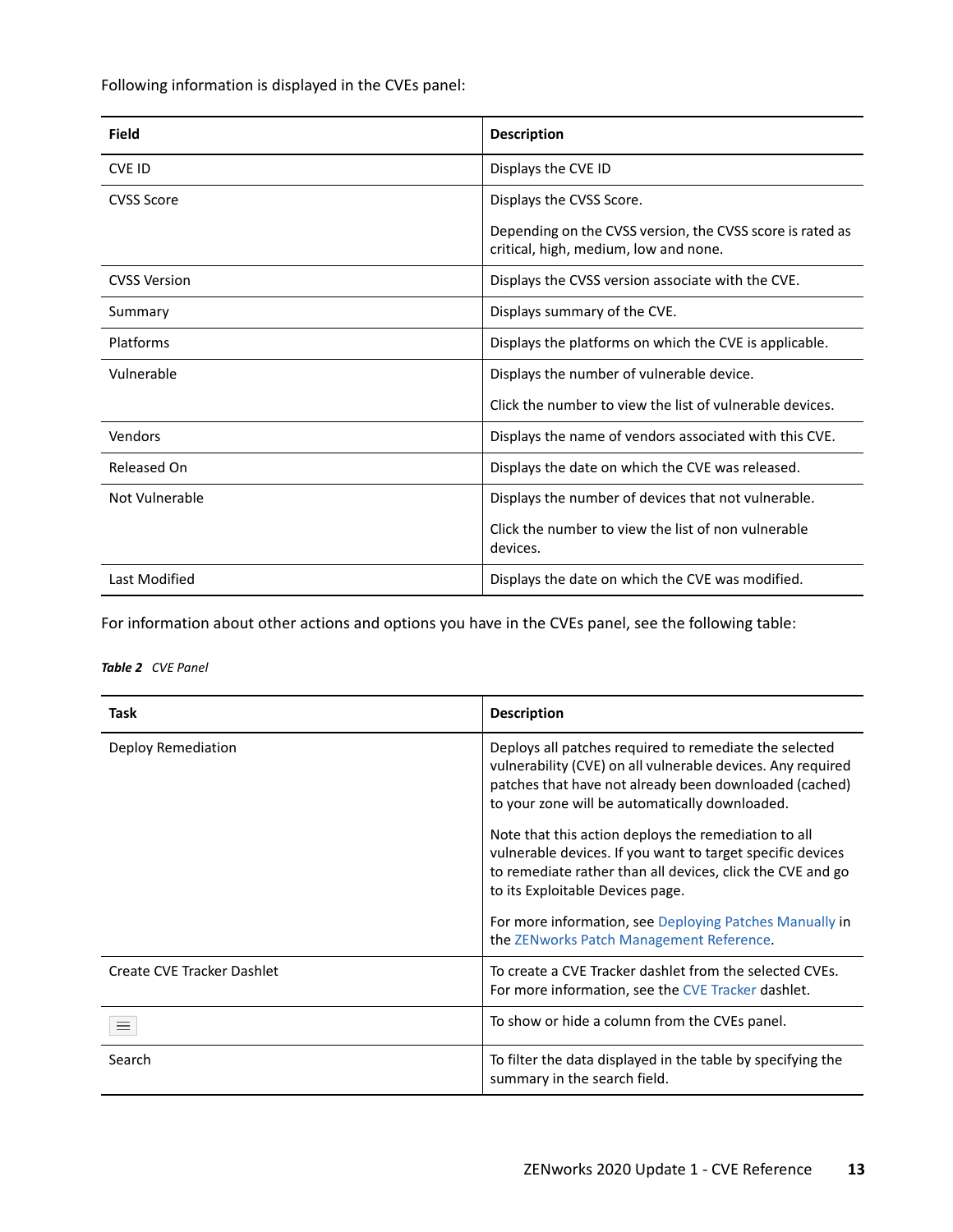Following information is displayed in the CVEs panel:

| <b>Field</b>        | <b>Description</b>                                                                                 |
|---------------------|----------------------------------------------------------------------------------------------------|
| <b>CVE ID</b>       | Displays the CVE ID                                                                                |
| <b>CVSS Score</b>   | Displays the CVSS Score.                                                                           |
|                     | Depending on the CVSS version, the CVSS score is rated as<br>critical, high, medium, low and none. |
| <b>CVSS Version</b> | Displays the CVSS version associate with the CVE.                                                  |
| Summary             | Displays summary of the CVE.                                                                       |
| Platforms           | Displays the platforms on which the CVE is applicable.                                             |
| Vulnerable          | Displays the number of vulnerable device.                                                          |
|                     | Click the number to view the list of vulnerable devices.                                           |
| Vendors             | Displays the name of vendors associated with this CVE.                                             |
| Released On         | Displays the date on which the CVE was released.                                                   |
| Not Vulnerable      | Displays the number of devices that not vulnerable.                                                |
|                     | Click the number to view the list of non vulnerable<br>devices.                                    |
| Last Modified       | Displays the date on which the CVE was modified.                                                   |

For information about other actions and options you have in the CVEs panel, see the following table:

*Table 2 CVE Panel*

| <b>Task</b>                | <b>Description</b>                                                                                                                                                                                                                |
|----------------------------|-----------------------------------------------------------------------------------------------------------------------------------------------------------------------------------------------------------------------------------|
| Deploy Remediation         | Deploys all patches required to remediate the selected<br>vulnerability (CVE) on all vulnerable devices. Any required<br>patches that have not already been downloaded (cached)<br>to your zone will be automatically downloaded. |
|                            | Note that this action deploys the remediation to all<br>vulnerable devices. If you want to target specific devices<br>to remediate rather than all devices, click the CVE and go<br>to its Exploitable Devices page.              |
|                            | For more information, see Deploying Patches Manually in<br>the ZENworks Patch Management Reference.                                                                                                                               |
| Create CVE Tracker Dashlet | To create a CVE Tracker dashlet from the selected CVEs.<br>For more information, see the CVE Tracker dashlet.                                                                                                                     |
| ≡                          | To show or hide a column from the CVEs panel.                                                                                                                                                                                     |
| Search                     | To filter the data displayed in the table by specifying the<br>summary in the search field.                                                                                                                                       |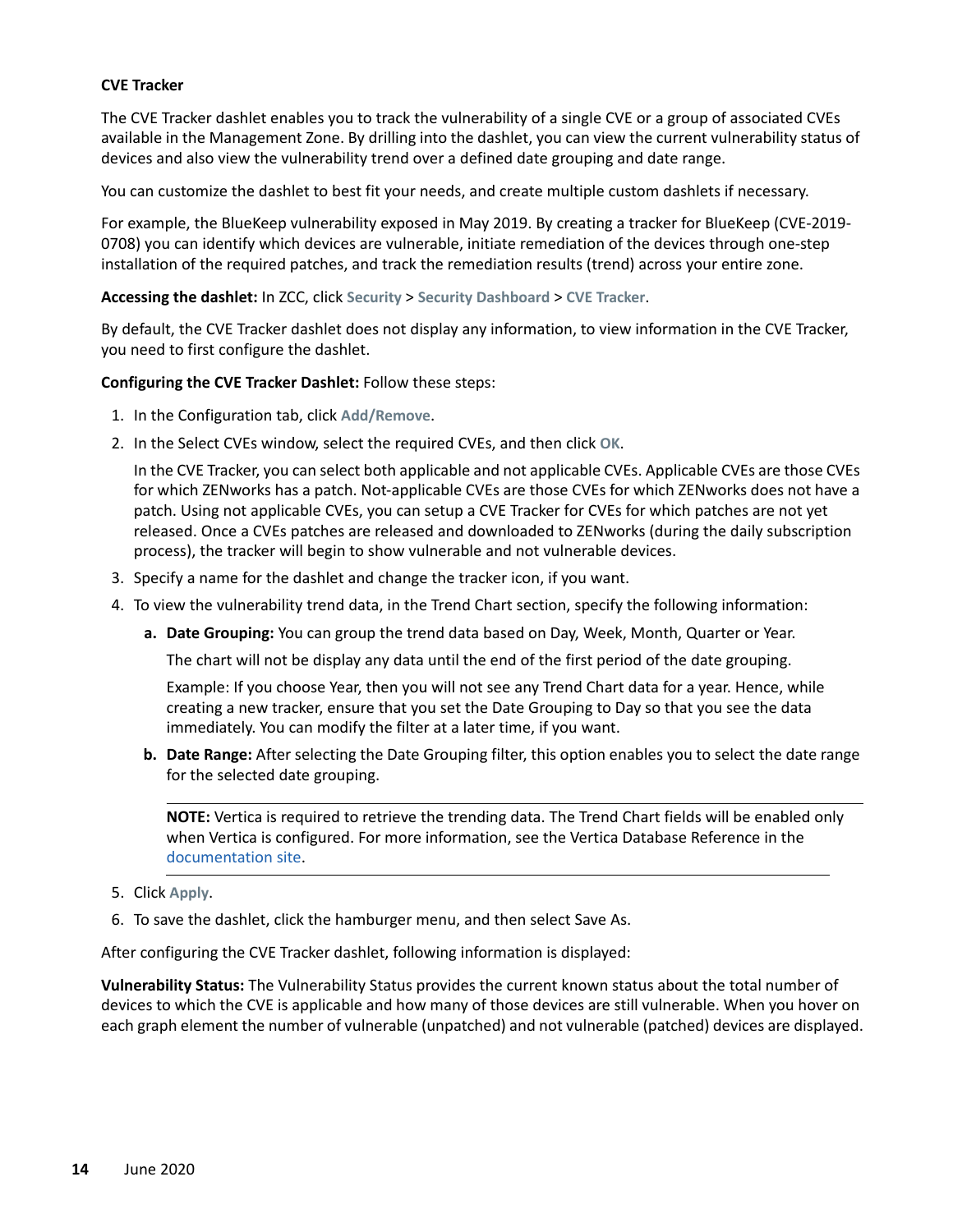#### <span id="page-13-0"></span>**CVE Tracker**

The CVE Tracker dashlet enables you to track the vulnerability of a single CVE or a group of associated CVEs available in the Management Zone. By drilling into the dashlet, you can view the current vulnerability status of devices and also view the vulnerability trend over a defined date grouping and date range.

You can customize the dashlet to best fit your needs, and create multiple custom dashlets if necessary.

For example, the BlueKeep vulnerability exposed in May 2019. By creating a tracker for BlueKeep (CVE-2019- 0708) you can identify which devices are vulnerable, initiate remediation of the devices through one-step installation of the required patches, and track the remediation results (trend) across your entire zone.

#### **Accessing the dashlet:** In ZCC, click **Security** > **Security Dashboard** > **CVE Tracker**.

By default, the CVE Tracker dashlet does not display any information, to view information in the CVE Tracker, you need to first configure the dashlet.

#### **Configuring the CVE Tracker Dashlet:** Follow these steps:

- 1. In the Configuration tab, click **Add/Remove**.
- 2. In the Select CVEs window, select the required CVEs, and then click **OK**.

In the CVE Tracker, you can select both applicable and not applicable CVEs. Applicable CVEs are those CVEs for which ZENworks has a patch. Not-applicable CVEs are those CVEs for which ZENworks does not have a patch. Using not applicable CVEs, you can setup a CVE Tracker for CVEs for which patches are not yet released. Once a CVEs patches are released and downloaded to ZENworks (during the daily subscription process), the tracker will begin to show vulnerable and not vulnerable devices.

- 3. Specify a name for the dashlet and change the tracker icon, if you want.
- 4. To view the vulnerability trend data, in the Trend Chart section, specify the following information:
	- **a. Date Grouping:** You can group the trend data based on Day, Week, Month, Quarter or Year.

The chart will not be display any data until the end of the first period of the date grouping.

Example: If you choose Year, then you will not see any Trend Chart data for a year. Hence, while creating a new tracker, ensure that you set the Date Grouping to Day so that you see the data immediately. You can modify the filter at a later time, if you want.

**b. Date Range:** After selecting the Date Grouping filter, this option enables you to select the date range for the selected date grouping.

**NOTE:** Vertica is required to retrieve the trending data. The Trend Chart fields will be enabled only when Vertica is configured. For more information, see the Vertica Database Reference in the [documentation site.](https://www.novell.com/documentation/zenworks-2020)

- 5. Click **Apply**.
- 6. To save the dashlet, click the hamburger menu, and then select Save As.

After configuring the CVE Tracker dashlet, following information is displayed:

**Vulnerability Status:** The Vulnerability Status provides the current known status about the total number of devices to which the CVE is applicable and how many of those devices are still vulnerable. When you hover on each graph element the number of vulnerable (unpatched) and not vulnerable (patched) devices are displayed.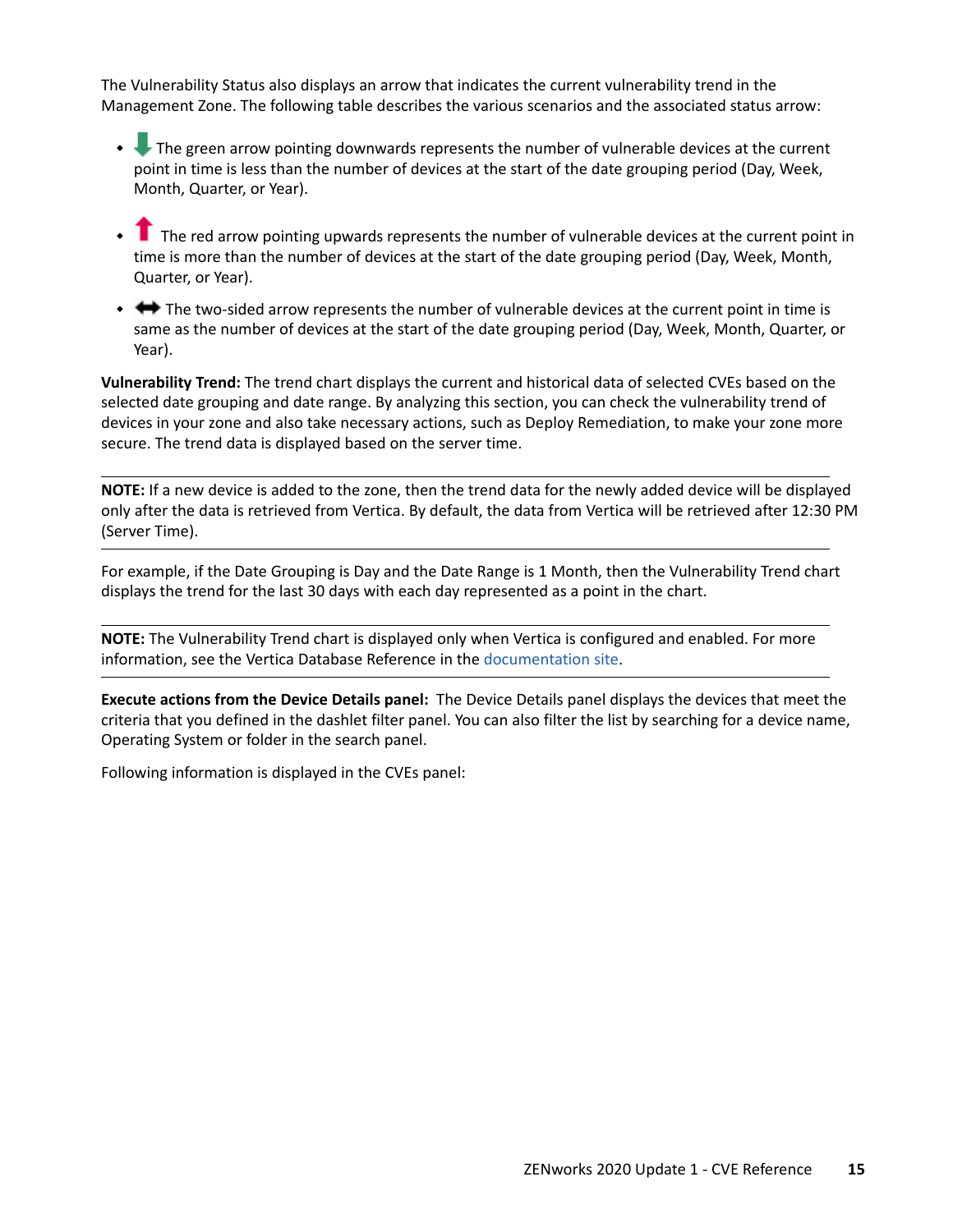The Vulnerability Status also displays an arrow that indicates the current vulnerability trend in the Management Zone. The following table describes the various scenarios and the associated status arrow:

- The green arrow pointing downwards represents the number of vulnerable devices at the current point in time is less than the number of devices at the start of the date grouping period (Day, Week, Month, Quarter, or Year).
- The red arrow pointing upwards represents the number of vulnerable devices at the current point in time is more than the number of devices at the start of the date grouping period (Day, Week, Month, Quarter, or Year).
- $\leftrightarrow$  The two-sided arrow represents the number of vulnerable devices at the current point in time is same as the number of devices at the start of the date grouping period (Day, Week, Month, Quarter, or Year).

**Vulnerability Trend:** The trend chart displays the current and historical data of selected CVEs based on the selected date grouping and date range. By analyzing this section, you can check the vulnerability trend of devices in your zone and also take necessary actions, such as Deploy Remediation, to make your zone more secure. The trend data is displayed based on the server time.

**NOTE:** If a new device is added to the zone, then the trend data for the newly added device will be displayed only after the data is retrieved from Vertica. By default, the data from Vertica will be retrieved after 12:30 PM (Server Time).

For example, if the Date Grouping is Day and the Date Range is 1 Month, then the Vulnerability Trend chart displays the trend for the last 30 days with each day represented as a point in the chart.

**NOTE:** The Vulnerability Trend chart is displayed only when Vertica is configured and enabled. For more information, see the Vertica Database Reference in the [documentation site.](https://www.novell.com/documentation/zenworks-2020)

**Execute actions from the Device Details panel:** The Device Details panel displays the devices that meet the criteria that you defined in the dashlet filter panel. You can also filter the list by searching for a device name, Operating System or folder in the search panel.

Following information is displayed in the CVEs panel: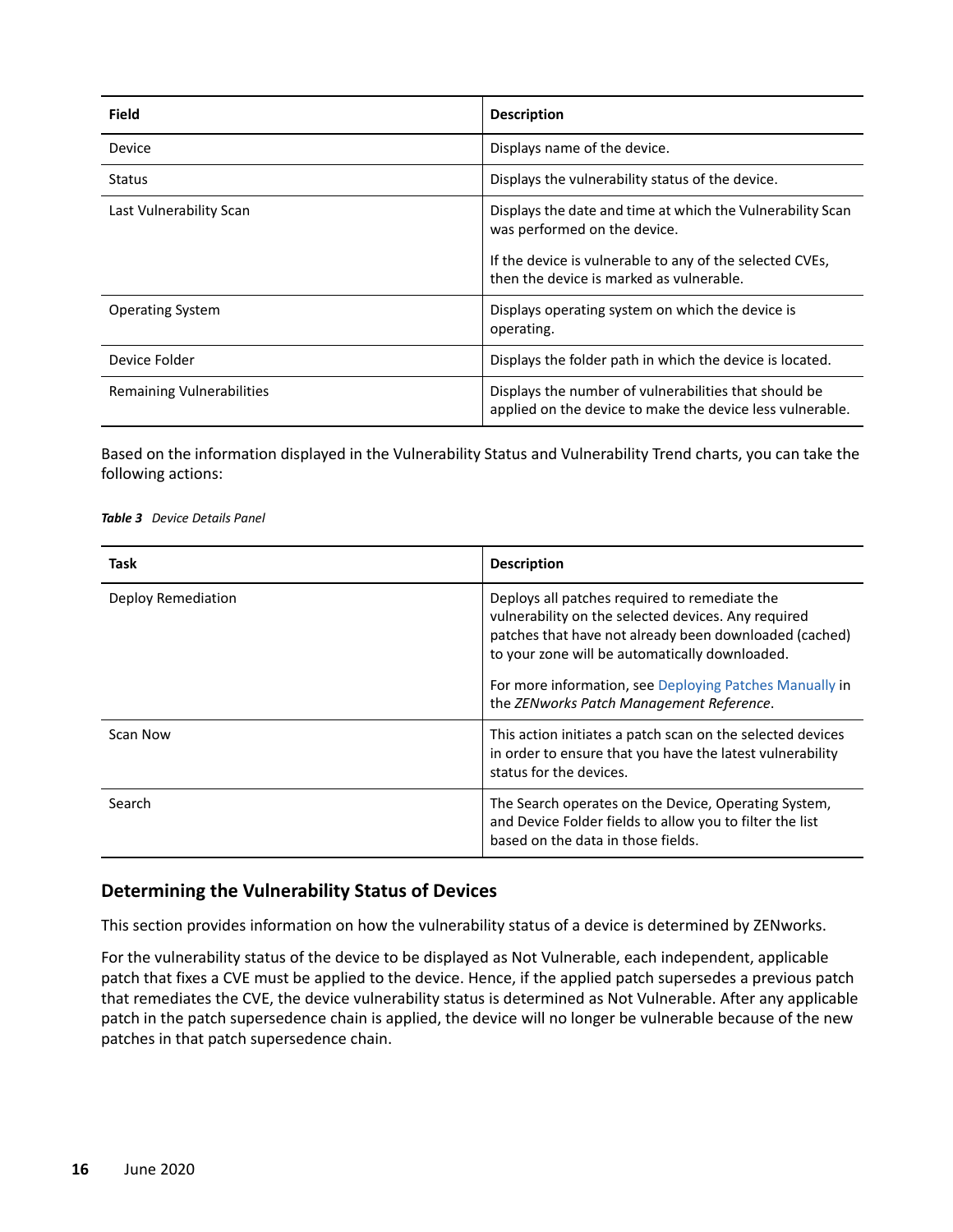| Field                            | <b>Description</b>                                                                                                                                                                                 |
|----------------------------------|----------------------------------------------------------------------------------------------------------------------------------------------------------------------------------------------------|
| Device                           | Displays name of the device.                                                                                                                                                                       |
| <b>Status</b>                    | Displays the vulnerability status of the device.                                                                                                                                                   |
| Last Vulnerability Scan          | Displays the date and time at which the Vulnerability Scan<br>was performed on the device.<br>If the device is vulnerable to any of the selected CVEs,<br>then the device is marked as vulnerable. |
| <b>Operating System</b>          | Displays operating system on which the device is<br>operating.                                                                                                                                     |
| Device Folder                    | Displays the folder path in which the device is located.                                                                                                                                           |
| <b>Remaining Vulnerabilities</b> | Displays the number of vulnerabilities that should be<br>applied on the device to make the device less vulnerable.                                                                                 |

Based on the information displayed in the Vulnerability Status and Vulnerability Trend charts, you can take the following actions:

#### *Table 3 Device Details Panel*

| Task               | <b>Description</b>                                                                                                                                                                                                                                                                                                      |
|--------------------|-------------------------------------------------------------------------------------------------------------------------------------------------------------------------------------------------------------------------------------------------------------------------------------------------------------------------|
| Deploy Remediation | Deploys all patches required to remediate the<br>vulnerability on the selected devices. Any required<br>patches that have not already been downloaded (cached)<br>to your zone will be automatically downloaded.<br>For more information, see Deploying Patches Manually in<br>the ZENworks Patch Management Reference. |
| Scan Now           | This action initiates a patch scan on the selected devices<br>in order to ensure that you have the latest vulnerability<br>status for the devices.                                                                                                                                                                      |
| Search             | The Search operates on the Device, Operating System,<br>and Device Folder fields to allow you to filter the list<br>based on the data in those fields.                                                                                                                                                                  |

#### <span id="page-15-0"></span>**Determining the Vulnerability Status of Devices**

This section provides information on how the vulnerability status of a device is determined by ZENworks.

For the vulnerability status of the device to be displayed as Not Vulnerable, each independent, applicable patch that fixes a CVE must be applied to the device. Hence, if the applied patch supersedes a previous patch that remediates the CVE, the device vulnerability status is determined as Not Vulnerable. After any applicable patch in the patch supersedence chain is applied, the device will no longer be vulnerable because of the new patches in that patch supersedence chain.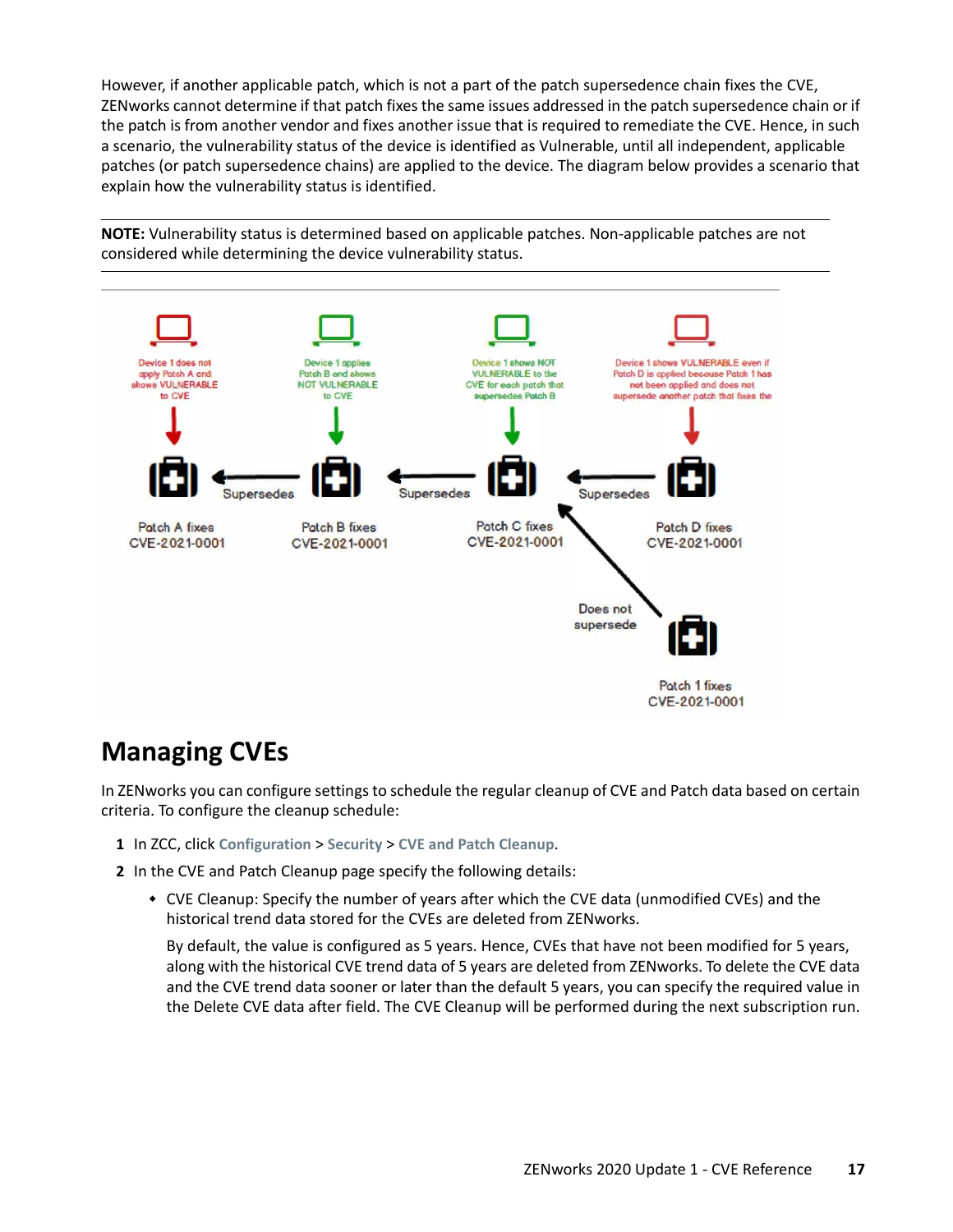However, if another applicable patch, which is not a part of the patch supersedence chain fixes the CVE, ZENworks cannot determine if that patch fixes the same issues addressed in the patch supersedence chain or if the patch is from another vendor and fixes another issue that is required to remediate the CVE. Hence, in such a scenario, the vulnerability status of the device is identified as Vulnerable, until all independent, applicable patches (or patch supersedence chains) are applied to the device. The diagram below provides a scenario that explain how the vulnerability status is identified.

**NOTE:** Vulnerability status is determined based on applicable patches. Non-applicable patches are not considered while determining the device vulnerability status.



# <span id="page-16-0"></span>**Managing CVEs**

In ZENworks you can configure settings to schedule the regular cleanup of CVE and Patch data based on certain criteria. To configure the cleanup schedule:

- **1** In ZCC, click **Configuration** > **Security** > **CVE and Patch Cleanup**.
- **2** In the CVE and Patch Cleanup page specify the following details:
	- CVE Cleanup: Specify the number of years after which the CVE data (unmodified CVEs) and the historical trend data stored for the CVEs are deleted from ZENworks.

By default, the value is configured as 5 years. Hence, CVEs that have not been modified for 5 years, along with the historical CVE trend data of 5 years are deleted from ZENworks. To delete the CVE data and the CVE trend data sooner or later than the default 5 years, you can specify the required value in the Delete CVE data after field. The CVE Cleanup will be performed during the next subscription run.